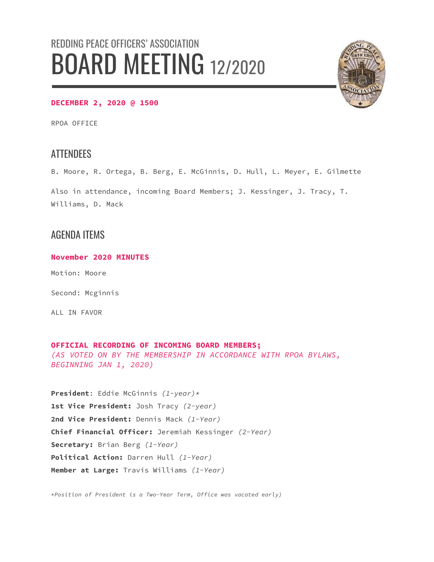# REDDING PEACE OFFICERS' ASSOCIATION BOARD MEETING 12/2020



#### **DECEMBER 2, 2020 @ 1500**

RPOA OFFICE

## **ATTENDEES**

B. Moore, R. Ortega, B. Berg, E. McGinnis, D. Hull, L. Meyer, E. Gilmette

Also in attendance, incoming Board Members; J. Kessinger, J. Tracy, T. Williams, D. Mack

## AGENDA ITEMS

**November 2020 MINUTES**

Motion: Moore

Second: Mcginnis

ALL IN FAVOR

#### **OFFICIAL RECORDING OF INCOMING BOARD MEMBERS;**

*(AS VOTED ON BY THE MEMBERSHIP IN ACCORDANCE WITH RPOA BYLAWS, BEGINNING JAN 1, 2020)*

**President**: Eddie McGinnis *(1-year)\** **1st Vice President:** Josh Tracy *(2-year)* **2nd Vice President:** Dennis Mack *(1-Year)* **Chief Financial Officer:** Jeremiah Kessinger *(2-Year)* **Secretary:** Brian Berg *(1-Year)* **Political Action:** Darren Hull *(1-Year)* **Member at Large:** Travis Williams *(1-Year)*

*\*Position of President is a Two-Year Term, Office was vacated early)*